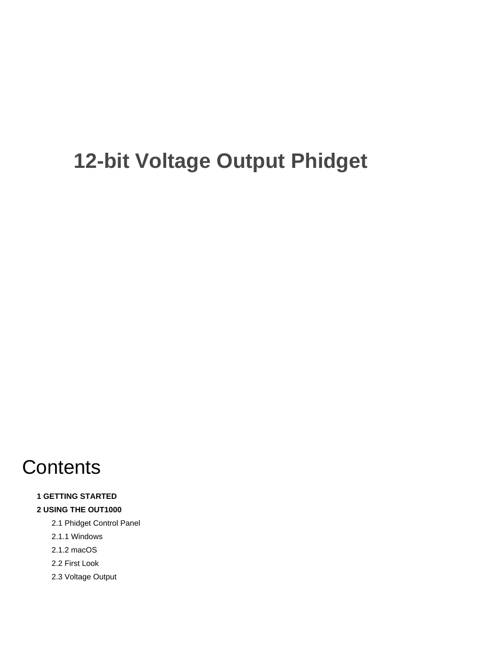# **12-bit Voltage Output Phidget**

# **Contents**

#### **1 GETTING STARTED**

#### **2 USING THE OUT1000**

- 2.1 Phidget Control Panel
- 2.1.1 Windows
- 2.1.2 macOS
- 2.2 First Look
- 2.3 Voltage Output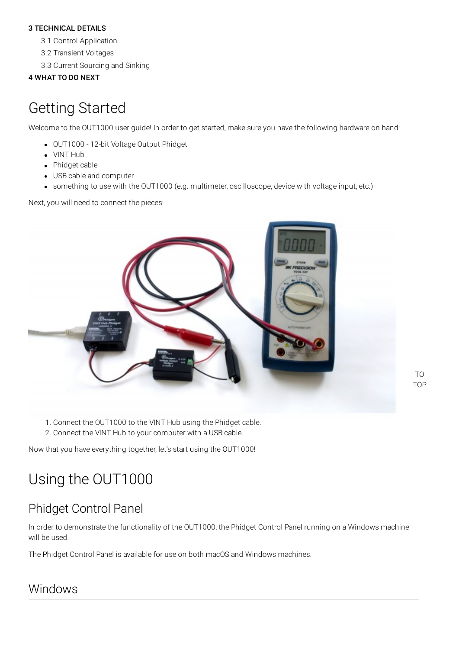#### 3 [TECHNICAL](#page-3-0) DETAILS

3.1 Control [Application](#page-3-1)

- 3.2 [Transient](#page-3-2) Voltages
- 3.3 Current [Sourcing](#page-3-3) and Sinking

#### 4 [WHAT](#page-4-0) TO DO NEXT

## Getting Started

Welcome to the OUT1000 user guide! In order to get started, make sure you have the following hardware on hand:

- [OUT1000](https://www.phidgets.com/products.php?product_id=OUT1000) 12-bit Voltage Output Phidget
- [VINT](https://www.phidgets.com/?tier=3&catid=2&pcid=1&prodid=643) Hub
- [Phidget](https://www.phidgets.com/?view=comparetable&rel=PhidgetCable) cable
- USB cable and computer
- something to use with the OUT1000 (e.g. multimeter, oscilloscope, device with voltage input, etc.)

Next, you will need to connect the pieces:



- 1. Connect the OUT1000 to the VINT Hub using the Phidget cable.
- 2. Connect the VINT Hub to your computer with a USB cable.

Now that you have everything together, let's start using the OUT1000!

# Using the OUT1000

### Phidget Control Panel

In order to demonstrate the functionality of the OUT1000, the Phidget Control Panel running on a Windows machine will be used.

The Phidget Control Panel is available for use on both macOS and Windows machines.

### Windows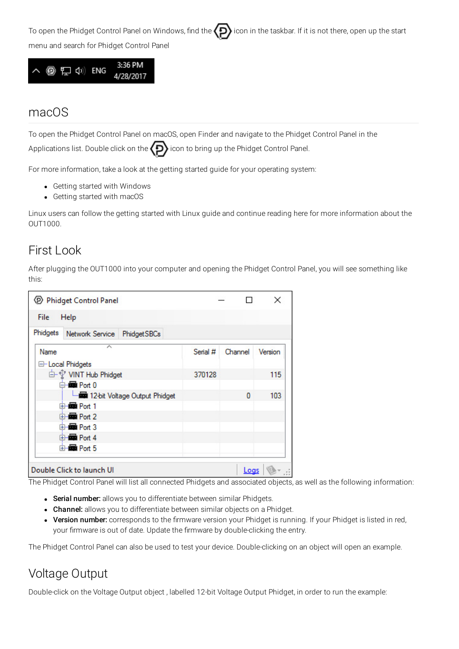To open the Phidget Control Panel on Windows, find the  $\bigodot$  icon in the taskbar. If it is not there, open up the start menu and search for Phidget Control Panel



#### macOS

To open the Phidget Control Panel on macOS, open Finder and navigate to the Phidget Control Panel in the

Applications list. Double click on the  $\langle D \rangle$  icon to bring up the Phidget Control Panel.

For more information, take a look at the getting started guide for your operating system:

- Getting started with [Windows](https://www.phidgets.com/docs/OS_-_Windows#Getting_started_with_Windows)
- [Getting](https://www.phidgets.com/docs/OS_-_macOS#Getting_started_with_macOS) started with macOS

Linux users can follow the [getting](https://www.phidgets.com/docs/OS_-_Linux#Getting_started_with_Linux) started with Linux guide and continue reading here for more information about the OUT1000.

### First Look

After plugging the OUT1000 into your computer and opening the Phidget Control Panel, you will see something like this:

| <b>D</b> Phidget Control Panel                                  |          |         | ×       |
|-----------------------------------------------------------------|----------|---------|---------|
| File<br>Help                                                    |          |         |         |
| Phidgets<br>Network Service<br>Phidget SBCs                     |          |         |         |
| ́<br>Name<br><b>E-Local Phidgets</b>                            | Serial # | Channel | Version |
| <b>E</b> - VINT Hub Phidget<br>$\overline{\blacksquare}$ Port 0 | 370128   |         | 115     |
| 12-bit Voltage Output Phidget<br>e-图 Port 1                     |          | 0       | 103     |
| d-new Port 2<br>d-图 Port 3                                      |          |         |         |
| <b>E-Re</b> Port 4<br>e-图 Port 5                                |          |         |         |
|                                                                 |          |         |         |
| Double Click to launch Ul                                       |          | Logs    |         |

The Phidget Control Panel will list all connected Phidgets and associated objects, as well as the following information:

- **Serial number:** allows you to differentiate between similar Phidgets.
- Channel: allows you to differentiate between similar objects on a Phidget.
- Version number: corresponds to the firmware version your Phidget is running. If your Phidget is listed in red, your firmware is out of date. Update the firmware by double-clicking the entry.

The Phidget Control Panel can also be used to test your device. Double-clicking on an object will open an example.

### Voltage Output

Double-click on the Voltage Output object , labelled 12-bit Voltage Output Phidget, in order to run the example: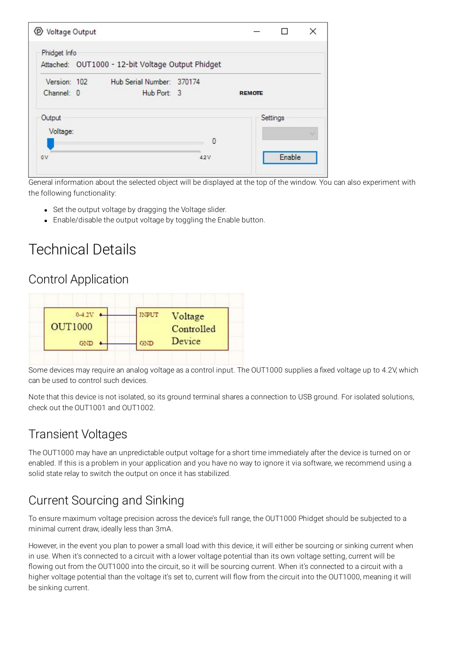| Voltage Output<br>℗ |                                                   |     |               | H        | × |
|---------------------|---------------------------------------------------|-----|---------------|----------|---|
| Phidget Info        | Attached: OUT1000 - 12-bit Voltage Output Phidget |     |               |          |   |
| Version: 102        | Hub Serial Number: 370174                         |     |               |          |   |
| Channel: 0          | Hub Port: 3                                       |     | <b>REMOTE</b> |          |   |
| Output              |                                                   |     |               | Settings |   |
| Voltage:            |                                                   |     |               |          |   |
|                     |                                                   | 0   |               |          |   |
| 0V                  |                                                   | 42V |               | Enable   |   |

General information about the selected object will be displayed at the top of the window. You can also experiment with the following functionality:

- Set the output voltage by dragging the Voltage slider.
- Enable/disable the output voltage by toggling the Enable button.

## <span id="page-3-0"></span>Technical Details

### <span id="page-3-1"></span>Control Application



Some devices may require an analog voltage as a control input. The OUT1000 supplies a fixed voltage up to 4.2V, which can be used to control such devices.

Note that this device is not isolated, so its ground terminal shares a connection to USB ground. For isolated solutions, check out the [OUT1001](https://www.phidgets.com/products.php?product_id=OUT1001) and [OUT1002.](https://www.phidgets.com/products.php?product_id=OUT1002)

#### <span id="page-3-2"></span>Transient Voltages

The OUT1000 may have an unpredictable output voltage for a short time immediately after the device is turned on or enabled. If this is a problem in your application and you have no way to ignore it via software, we recommend using a solid [state](https://www.phidgets.com/docs/Solid_State_Relay_Primer) relay to switch the output on once it has stabilized.

### <span id="page-3-3"></span>Current Sourcing and Sinking

To ensure maximum voltage precision across the device's full range, the OUT1000 Phidget should be subjected to a minimal current draw, ideally less than 3mA.

However, in the event you plan to power a small load with this device, it will either be sourcing or sinking current when in use. When it's connected to a circuit with a lower voltage potential than its own voltage setting, current will be flowing out from the OUT1000 into the circuit, so it will be sourcing current. When it's connected to a circuit with a higher voltage potential than the voltage it's set to, current will flow from the circuit into the OUT1000, meaning it will be sinking current.